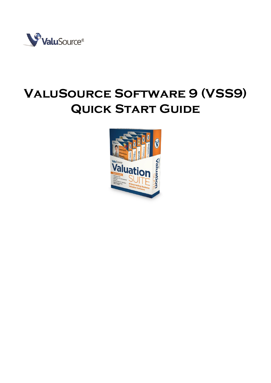

# **ValuSource Software 9 (VSS9) QUICK START GUIDE**

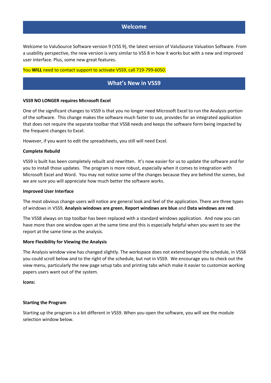## **Welcome**

Welcome to ValuSource Software version 9 (VSS 9), the latest version of ValuSource Valuation Software. From a usability perspective, the new version is very similar to VSS 8 in how it works but with a new and improved user interface. Plus, some new great features.

#### You **WILL** need to contact support to activate VSS9, call 719-799-6050.

# **What's New in VSS9**

#### **VSS9 NO LONGER requires Microsoft Excel**

One of the significant changes to VSS9 is that you no longer need Microsoft Excel to run the Analysis portion of the software. This change makes the software much faster to use, provides for an integrated application that does not require the separate toolbar that VSS8 needs and keeps the software form being impacted by the frequent changes to Excel.

However, if you want to edit the spreadsheets, you still will need Excel.

#### **Complete Rebuild**

VSS9 is built has been completely rebuilt and rewritten. It's now easier for us to update the software and for you to install those updates. The program is more robust, especially when it comes to integration with Microsoft Excel and Word. You may not notice some of the changes because they are behind the scenes, but we are sure you will appreciate how much better the software works.

#### **Improved User Interface**

The most obvious change users will notice are general look and feel of the application. There are three types of windows in VSS9, **Analysis windows are green**, **Report windows are blue** and **Data windows are red**.

The VSS8 always on top toolbar has been replaced with a standard windows application. And now you can have more than one window open at the same time and this is especially helpful when you want to see the report at the same time as the analysis.

#### **More Flexibility for Viewing the Analysis**

The Analysis window view has changed slightly. The workspace does not extend beyond the schedule, in VSS8 you could scroll below and to the right of the schedule, but not in VSS9. We encourage you to check out the view menu, particularly the new page setup tabs and printing tabs which make it easier to customize working papers users want out of the system.

**Icons:**

## **Starting the Program**

Starting up the program is a bit different in VSS9. When you open the software, you will see the module selection window below.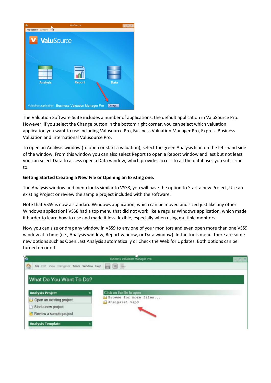

The Valuation Software Suite includes a number of applications, the default application in ValuSource Pro. However, if you select the Change button in the bottom right corner, you can select which valuation application you want to use including Valusource Pro, Business Valuation Manager Pro, Express Business Valuation and International Valusource Pro.

To open an Analysis window (to open or start a valuation), select the green Analysis Icon on the left-hand side of the window. From this window you can also select Report to open a Report window and last but not least you can select Data to access open a Data window, which provides access to all the databases you subscribe to.

## **Getting Started Creating a New File or Opening an Existing one.**

The Analysis window and menu looks similar to VSS8, you will have the option to Start a new Project, Use an existing Project or review the sample project included with the software.

Note that VSS9 is now a standard Windows application, which can be moved and sized just like any other Windows application! VSS8 had a top menu that did not work like a regular Windows application, which made it harder to learn how to use and made it less flexible, especially when using multiple monitors.

Now you can size or drag any window in VSS9 to any one of your monitors and even open more than one VSS9 window at a time (i.e., Analysis window, Report window, or Data window). In the tools menu, there are some new options such as Open Last Analysis automatically or Check the Web for Updates. Both options can be turned on or off.

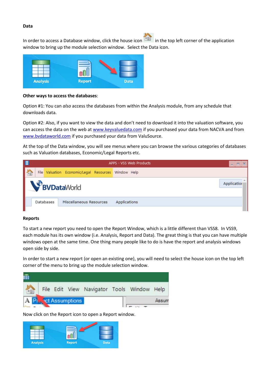#### **Data**

In order to access a Database window, click the house icon  $\Box$  in the top left corner of the application window to bring up the module selection window. Select the Data icon.



## **Other ways to access the databases**:

Option #1: You can *also* access the databases from within the Analysis module, from any schedule that downloads data.

Option #2: Also, if you want to view the data and don't need to download it into the valuation software, you can access the data on the web at [www.keyvaluedata.com](http://www.keyvaluedata.com/) if you purchased your data from NACVA and from [www.bvdataworld.com](http://www.bvdataworld.com/) if you purchased your data from ValuSource.

At the top of the Data window, you will see menus where you can browse the various categories of databases such as Valuation databases, Economic/Legal Reports etc.



## **Reports**

To start a new report you need to open the Report Window, which is a little different than VSS8. In VSS9, each module has its own window (i.e. Analysis, Report and Data). The great thing is that you can have multiple windows open at the same time. One thing many people like to do is have the report and analysis windows open side by side.

In order to start a new report (or open an existing one), you will need to select the house icon on the top left corner of the menu to bring up the module selection window.



Now click on the Report icon to open a Report window.

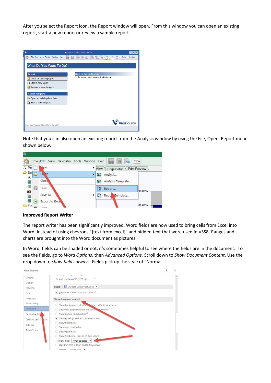After you select the Report icon, the Report window will open. From this window you can open an existing report, start a new report or review a sample report.

| 勖<br><b>Business Valuation Report Writer</b>                                                           | $= x$                                                         |
|--------------------------------------------------------------------------------------------------------|---------------------------------------------------------------|
| e<br>F<br>$7.4$ 5 <sup>9</sup><br>File Edit View Tools Window Help<br>He<br>$\blacksquare$<br>$\left[$ | $\frac{1}{\omega}$<br>Color <sup>1</sup> Locked<br>Go To Link |
|                                                                                                        |                                                               |
| What Do You Want To Do?                                                                                |                                                               |
|                                                                                                        |                                                               |
| Click on the file to open<br><b>Report</b><br>$\hat{\mathbf{x}}$                                       |                                                               |
| Browse for more files<br>Open an existing report                                                       |                                                               |
| Start a new report                                                                                     |                                                               |
| Review a sample report                                                                                 |                                                               |
|                                                                                                        |                                                               |
| <b>Report Template</b><br>$\hat{\mathbf{x}}$                                                           |                                                               |
| Open an existing template                                                                              |                                                               |
| Start a new template                                                                                   |                                                               |
|                                                                                                        |                                                               |
|                                                                                                        |                                                               |
|                                                                                                        |                                                               |
|                                                                                                        |                                                               |
|                                                                                                        | <b>lu</b> Source                                              |
| <b>Business Valuation Report Writer for VSP</b>                                                        |                                                               |
|                                                                                                        |                                                               |

Note that you can also open an existing report from the Analysis window by using the File, Open, Report menu shown below.



#### **Improved Report Writer**

The report writer has been significantly improved. Word fields are now used to bring cells from Excel into Word, instead of using chevrons "{text from excel}" and hidden text that were used in VSS8. Ranges and charts are brought into the Word document as pictures.

In Word, fields can be shaded or not, it's sometimes helpful to see where the fields are in the document. To see the fields, go to *Word Options*, then *Advanced Options.* Scroll down to *Show Document Content*. Use the drop down to *show fields always*. Fields pick up the style of "Normal".